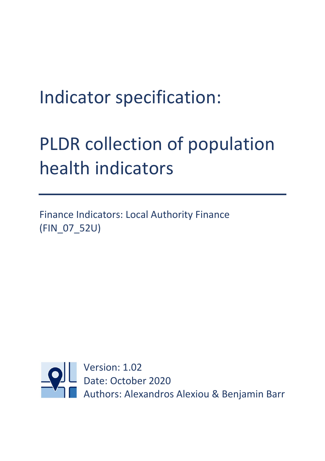## Indicator specification:

# PLDR collection of population health indicators

Finance Indicators: Local Authority Finance (FIN\_07\_52U)

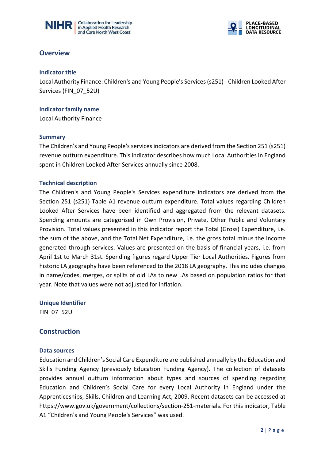



### **Overview**

#### **Indicator title**

Local Authority Finance: Children's and Young People's Services (s251) - Children Looked After Services (FIN\_07\_52U)

 $\overline{a}$ 

## **Indicator family name**

Local Authority Finance

#### **Summary**

The Children's and Young People's services indicators are derived from the Section 251 (s251) revenue outturn expenditure. This indicator describes how much Local Authorities in England spent in Children Looked After Services annually since 2008.

#### **Technical description**

The Children's and Young People's Services expenditure indicators are derived from the Section 251 (s251) Table A1 revenue outturn expenditure. Total values regarding Children Looked After Services have been identified and aggregated from the relevant datasets. Spending amounts are categorised in Own Provision, Private, Other Public and Voluntary Provision. Total values presented in this indicator report the Total (Gross) Expenditure, i.e. the sum of the above, and the Total Net Expenditure, i.e. the gross total minus the income generated through services. Values are presented on the basis of financial years, i.e. from April 1st to March 31st. Spending figures regard Upper Tier Local Authorities. Figures from historic LA geography have been referenced to the 2018 LA geography. This includes changes in name/codes, merges, or splits of old LAs to new LAs based on population ratios for that year. Note that values were not adjusted for inflation.

**Unique Identifier** FIN\_07\_52U

## **Construction**

#### **Data sources**

Education and Children's Social Care Expenditure are published annually by the Education and Skills Funding Agency (previously Education Funding Agency). The collection of datasets provides annual outturn information about types and sources of spending regarding Education and Children's Social Care for every Local Authority in England under the Apprenticeships, Skills, Children and Learning Act, 2009. Recent datasets can be accessed at https://www.gov.uk/government/collections/section-251-materials. For this indicator, Table A1 "Children's and Young People's Services" was used.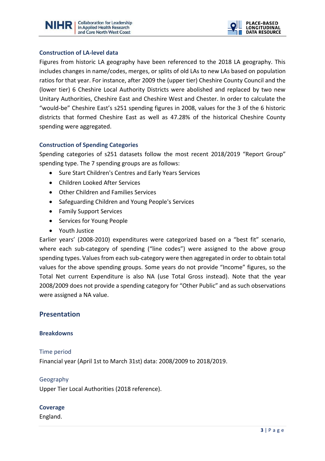



#### **Construction of LA-level data**

Figures from historic LA geography have been referenced to the 2018 LA geography. This includes changes in name/codes, merges, or splits of old LAs to new LAs based on population ratios for that year. For instance, after 2009 the (upper tier) Cheshire County Council and the (lower tier) 6 Cheshire Local Authority Districts were abolished and replaced by two new Unitary Authorities, Cheshire East and Cheshire West and Chester. In order to calculate the "would-be" Cheshire East's s251 spending figures in 2008, values for the 3 of the 6 historic districts that formed Cheshire East as well as 47.28% of the historical Cheshire County spending were aggregated.

 $\overline{a}$ 

#### **Construction of Spending Categories**

Spending categories of s251 datasets follow the most recent 2018/2019 "Report Group" spending type. The 7 spending groups are as follows:

- Sure Start Children's Centres and Early Years Services
- Children Looked After Services
- Other Children and Families Services
- Safeguarding Children and Young People's Services
- Family Support Services
- Services for Young People
- Youth Justice

Earlier years' (2008-2010) expenditures were categorized based on a "best fit" scenario, where each sub-category of spending ("line codes") were assigned to the above group spending types. Values from each sub-category were then aggregated in order to obtain total values for the above spending groups. Some years do not provide "Income" figures, so the Total Net current Expenditure is also NA (use Total Gross instead). Note that the year 2008/2009 does not provide a spending category for "Other Public" and as such observations were assigned a NA value.

#### **Presentation**

#### **Breakdowns**

#### Time period

Financial year (April 1st to March 31st) data: 2008/2009 to 2018/2019.

#### Geography

Upper Tier Local Authorities (2018 reference).

#### **Coverage**

England.